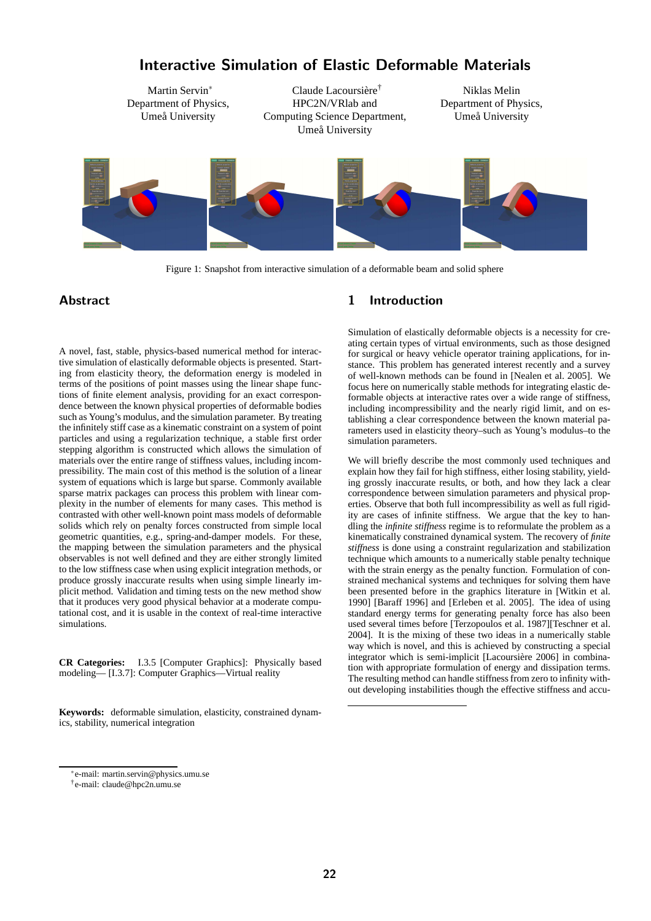

Interactive Simulation of Elastic Deformable Materials

Figure 1: Snapshot from interactive simulation of a deformable beam and solid sphere

# Abstract

A novel, fast, stable, physics-based numerical method for interactive simulation of elastically deformable objects is presented. Starting from elasticity theory, the deformation energy is modeled in terms of the positions of point masses using the linear shape functions of finite element analysis, providing for an exact correspondence between the known physical properties of deformable bodies such as Young's modulus, and the simulation parameter. By treating the infinitely stiff case as a kinematic constraint on a system of point particles and using a regularization technique, a stable first order stepping algorithm is constructed which allows the simulation of materials over the entire range of stiffness values, including incompressibility. The main cost of this method is the solution of a linear system of equations which is large but sparse. Commonly available sparse matrix packages can process this problem with linear complexity in the number of elements for many cases. This method is contrasted with other well-known point mass models of deformable solids which rely on penalty forces constructed from simple local geometric quantities, e.g., spring-and-damper models. For these, the mapping between the simulation parameters and the physical observables is not well defined and they are either strongly limited to the low stiffness case when using explicit integration methods, or produce grossly inaccurate results when using simple linearly implicit method. Validation and timing tests on the new method show that it produces very good physical behavior at a moderate computational cost, and it is usable in the context of real-time interactive simulations.

**CR Categories:** I.3.5 [Computer Graphics]: Physically based modeling— [I.3.7]: Computer Graphics—Virtual reality

**Keywords:** deformable simulation, elasticity, constrained dynamics, stability, numerical integration

# 1 Introduction

Simulation of elastically deformable objects is a necessity for creating certain types of virtual environments, such as those designed for surgical or heavy vehicle operator training applications, for instance. This problem has generated interest recently and a survey of well-known methods can be found in [Nealen et al. 2005]. We focus here on numerically stable methods for integrating elastic deformable objects at interactive rates over a wide range of stiffness, including incompressibility and the nearly rigid limit, and on establishing a clear correspondence between the known material parameters used in elasticity theory–such as Young's modulus–to the simulation parameters.

We will briefly describe the most commonly used techniques and explain how they fail for high stiffness, either losing stability, yielding grossly inaccurate results, or both, and how they lack a clear correspondence between simulation parameters and physical properties. Observe that both full incompressibility as well as full rigidity are cases of infinite stiffness. We argue that the key to handling the *infinite stiffness* regime is to reformulate the problem as a kinematically constrained dynamical system. The recovery of *finite stiffness* is done using a constraint regularization and stabilization technique which amounts to a numerically stable penalty technique with the strain energy as the penalty function. Formulation of constrained mechanical systems and techniques for solving them have been presented before in the graphics literature in [Witkin et al. 1990] [Baraff 1996] and [Erleben et al. 2005]. The idea of using standard energy terms for generating penalty force has also been used several times before [Terzopoulos et al. 1987][Teschner et al. 2004]. It is the mixing of these two ideas in a numerically stable way which is novel, and this is achieved by constructing a special integrator which is semi-implicit [Lacoursière 2006] in combination with appropriate formulation of energy and dissipation terms. The resulting method can handle stiffness from zero to infinity without developing instabilities though the effective stiffness and accu-

<sup>∗</sup> e-mail: martin.servin@physics.umu.se

<sup>†</sup> e-mail: claude@hpc2n.umu.se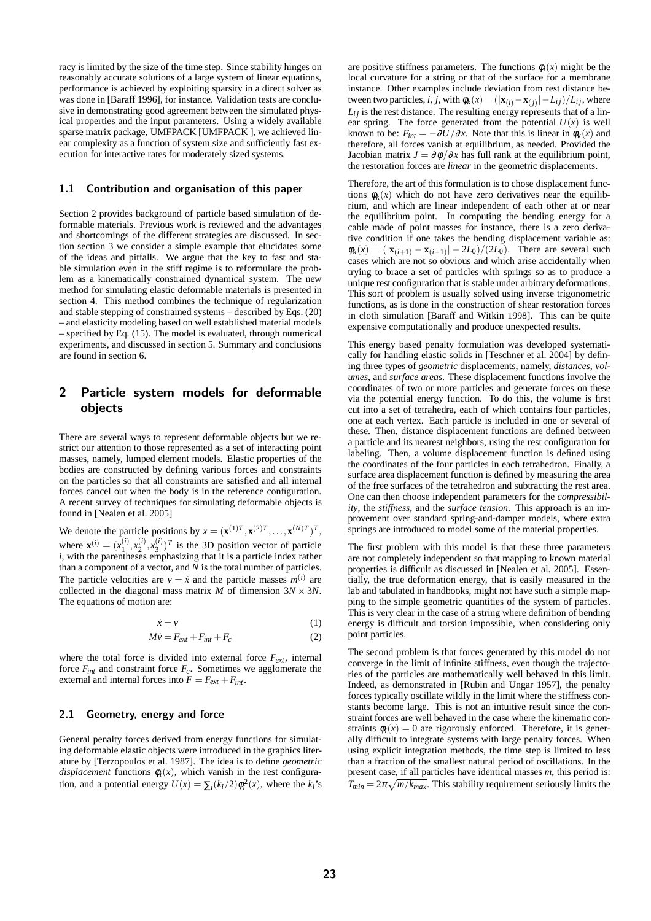racy is limited by the size of the time step. Since stability hinges on reasonably accurate solutions of a large system of linear equations, performance is achieved by exploiting sparsity in a direct solver as was done in [Baraff 1996], for instance. Validation tests are conclusive in demonstrating good agreement between the simulated physical properties and the input parameters. Using a widely available sparse matrix package, UMFPACK [UMFPACK ], we achieved linear complexity as a function of system size and sufficiently fast execution for interactive rates for moderately sized systems.

#### 1.1 Contribution and organisation of this paper

Section 2 provides background of particle based simulation of deformable materials. Previous work is reviewed and the advantages and shortcomings of the different strategies are discussed. In section section 3 we consider a simple example that elucidates some of the ideas and pitfalls. We argue that the key to fast and stable simulation even in the stiff regime is to reformulate the problem as a kinematically constrained dynamical system. The new method for simulating elastic deformable materials is presented in section 4. This method combines the technique of regularization and stable stepping of constrained systems – described by Eqs. (20) – and elasticity modeling based on well established material models – specified by Eq. (15). The model is evaluated, through numerical experiments, and discussed in section 5. Summary and conclusions are found in section 6.

# 2 Particle system models for deformable objects

There are several ways to represent deformable objects but we restrict our attention to those represented as a set of interacting point masses, namely, lumped element models. Elastic properties of the bodies are constructed by defining various forces and constraints on the particles so that all constraints are satisfied and all internal forces cancel out when the body is in the reference configuration. A recent survey of techniques for simulating deformable objects is found in [Nealen et al. 2005]

We denote the particle positions by  $x = (\mathbf{x}^{(1)T}, \mathbf{x}^{(2)T}, \dots, \mathbf{x}^{(N)T})^T$ , where  $\mathbf{x}^{(i)} = (x_1^{(i)}, x_2^{(i)}, x_3^{(i)})^T$  is the 3D position vector of particle *i*, with the parentheses emphasizing that it is a particle index rather than a component of a vector, and  $N$  is the total number of particles. The particle velocities are  $v = \dot{x}$  and the particle masses  $m^{(i)}$  are collected in the diagonal mass matrix *M* of dimension  $3N \times 3N$ . The equations of motion are:

$$
\dot{x} = v \tag{1}
$$

$$
M\dot{v} = F_{ext} + F_{int} + F_c \tag{2}
$$

where the total force is divided into external force *Fext*, internal force *Fint* and constraint force *Fc*. Sometimes we agglomerate the external and internal forces into  $F = F_{ext} + F_{int}$ .

#### 2.1 Geometry, energy and force

General penalty forces derived from energy functions for simulating deformable elastic objects were introduced in the graphics literature by [Terzopoulos et al. 1987]. The idea is to define *geometric displacement* functions  $\phi_i(x)$ , which vanish in the rest configuration, and a potential energy  $U(x) = \sum_i (k_i/2) \phi_i^2(x)$ , where the  $k_i$ 's are positive stiffness parameters. The functions  $\phi_i(x)$  might be the local curvature for a string or that of the surface for a membrane instance. Other examples include deviation from rest distance between two particles, *i*, *j*, with  $\phi_k(x) = (|\mathbf{x}_{(i)} - \mathbf{x}_{(j)}| - L_{ij})/L_{ij}$ , where  $L_{ij}$  is the rest distance. The resulting energy represents that of a linear spring. The force generated from the potential  $U(x)$  is well known to be:  $F_{int} = -\frac{\partial U}{\partial x}$ . Note that this is linear in  $\phi_k(x)$  and therefore, all forces vanish at equilibrium, as needed. Provided the Jacobian matrix  $J = \frac{\partial \phi}{\partial x}$  has full rank at the equilibrium point, the restoration forces are *linear* in the geometric displacements.

Therefore, the art of this formulation is to chose displacement functions  $\phi_k(x)$  which do not have zero derivatives near the equilibrium, and which are linear independent of each other at or near the equilibrium point. In computing the bending energy for a cable made of point masses for instance, there is a zero derivative condition if one takes the bending displacement variable as:  $\phi_k(x) = (|\mathbf{x}_{(i+1)} - \mathbf{x}_{(i-1)}| - 2L_0)/(2L_0)$ . There are several such cases which are not so obvious and which arise accidentally when trying to brace a set of particles with springs so as to produce a unique rest configuration that is stable under arbitrary deformations. This sort of problem is usually solved using inverse trigonometric functions, as is done in the construction of shear restoration forces in cloth simulation [Baraff and Witkin 1998]. This can be quite expensive computationally and produce unexpected results.

This energy based penalty formulation was developed systematically for handling elastic solids in [Teschner et al. 2004] by defining three types of *geometric* displacements, namely, *distances*, *volumes*, and *surface areas*. These displacement functions involve the coordinates of two or more particles and generate forces on these via the potential energy function. To do this, the volume is first cut into a set of tetrahedra, each of which contains four particles, one at each vertex. Each particle is included in one or several of these. Then, distance displacement functions are defined between a particle and its nearest neighbors, using the rest configuration for labeling. Then, a volume displacement function is defined using the coordinates of the four particles in each tetrahedron. Finally, a surface area displacement function is defined by measuring the area of the free surfaces of the tetrahedron and subtracting the rest area. One can then choose independent parameters for the *compressibility*, the *stiffness*, and the *surface tension*. This approach is an improvement over standard spring-and-damper models, where extra springs are introduced to model some of the material properties.

The first problem with this model is that these three parameters are not completely independent so that mapping to known material properties is difficult as discussed in [Nealen et al. 2005]. Essentially, the true deformation energy, that is easily measured in the lab and tabulated in handbooks, might not have such a simple mapping to the simple geometric quantities of the system of particles. This is very clear in the case of a string where definition of bending energy is difficult and torsion impossible, when considering only point particles.

The second problem is that forces generated by this model do not converge in the limit of infinite stiffness, even though the trajectories of the particles are mathematically well behaved in this limit. Indeed, as demonstrated in [Rubin and Ungar 1957], the penalty forces typically oscillate wildly in the limit where the stiffness constants become large. This is not an intuitive result since the constraint forces are well behaved in the case where the kinematic constraints  $\phi_i(x) = 0$  are rigorously enforced. Therefore, it is generally difficult to integrate systems with large penalty forces. When using explicit integration methods, the time step is limited to less than a fraction of the smallest natural period of oscillations. In the present case, if all particles have identical masses *m*, this period is:  $T_{min} = 2\pi \sqrt{m/k_{max}}$ . This stability requirement seriously limits the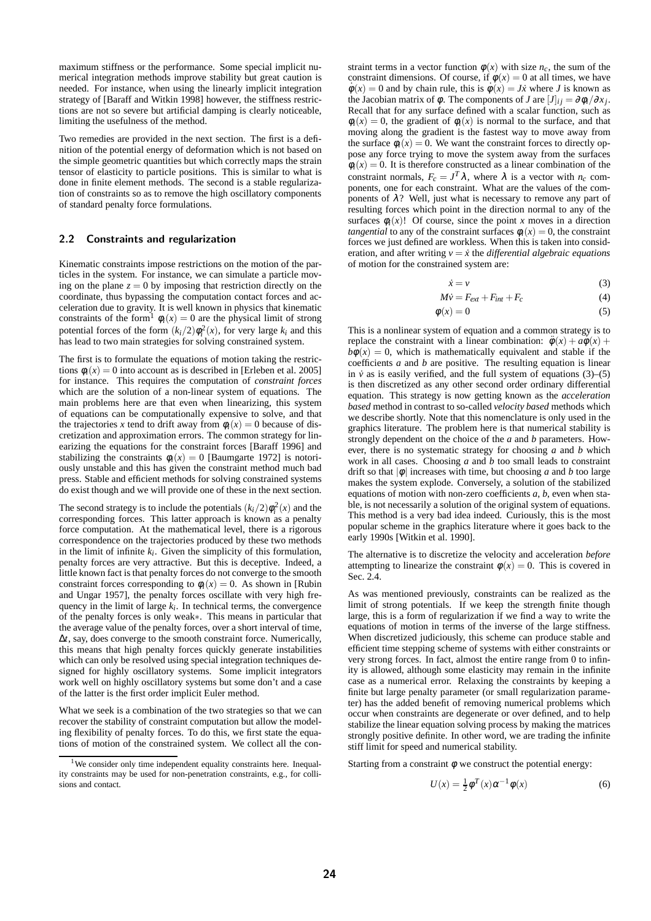maximum stiffness or the performance. Some special implicit numerical integration methods improve stability but great caution is needed. For instance, when using the linearly implicit integration strategy of [Baraff and Witkin 1998] however, the stiffness restrictions are not so severe but artificial damping is clearly noticeable, limiting the usefulness of the method.

Two remedies are provided in the next section. The first is a definition of the potential energy of deformation which is not based on the simple geometric quantities but which correctly maps the strain tensor of elasticity to particle positions. This is similar to what is done in finite element methods. The second is a stable regularization of constraints so as to remove the high oscillatory components of standard penalty force formulations.

#### 2.2 Constraints and regularization

Kinematic constraints impose restrictions on the motion of the particles in the system. For instance, we can simulate a particle moving on the plane  $z = 0$  by imposing that restriction directly on the coordinate, thus bypassing the computation contact forces and acceleration due to gravity. It is well known in physics that kinematic constraints of the form<sup>1</sup>  $\phi_i(x) = 0$  are the physical limit of strong potential forces of the form  $(k_i/2)\phi_i^2(x)$ , for very large  $k_i$  and this has lead to two main strategies for solving constrained system.

The first is to formulate the equations of motion taking the restrictions  $\phi_i(x) = 0$  into account as is described in [Erleben et al. 2005] for instance. This requires the computation of *constraint forces* which are the solution of a non-linear system of equations. The main problems here are that even when linearizing, this system of equations can be computationally expensive to solve, and that the trajectories *x* tend to drift away from  $\phi_i(x) = 0$  because of discretization and approximation errors. The common strategy for linearizing the equations for the constraint forces [Baraff 1996] and stabilizing the constraints  $\phi_i(x) = 0$  [Baumgarte 1972] is notoriously unstable and this has given the constraint method much bad press. Stable and efficient methods for solving constrained systems do exist though and we will provide one of these in the next section.

The second strategy is to include the potentials  $(k_i/2)\phi_i^2(x)$  and the corresponding forces. This latter approach is known as a penalty force computation. At the mathematical level, there is a rigorous correspondence on the trajectories produced by these two methods in the limit of infinite  $k_i$ . Given the simplicity of this formulation, penalty forces are very attractive. But this is deceptive. Indeed, a little known fact is that penalty forces do not converge to the smooth constraint forces corresponding to  $\phi_i(x) = 0$ . As shown in [Rubin and Ungar 1957], the penalty forces oscillate with very high frequency in the limit of large  $k_i$ . In technical terms, the convergence of the penalty forces is only weak∗. This means in particular that the average value of the penalty forces, over a short interval of time, ∆*t*, say, does converge to the smooth constraint force. Numerically, this means that high penalty forces quickly generate instabilities which can only be resolved using special integration techniques designed for highly oscillatory systems. Some implicit integrators work well on highly oscillatory systems but some don't and a case of the latter is the first order implicit Euler method.

What we seek is a combination of the two strategies so that we can recover the stability of constraint computation but allow the modeling flexibility of penalty forces. To do this, we first state the equations of motion of the constrained system. We collect all the constraint terms in a vector function  $\phi(x)$  with size  $n_c$ , the sum of the constraint dimensions. Of course, if  $\dot{\phi}(x) = 0$  at all times, we have  $\dot{\phi}(x) = 0$  and by chain rule, this is  $\dot{\phi}(x) = J\dot{x}$  where *J* is known as the Jacobian matrix of  $\phi$ . The components of *J* are  $[J]_{ij} = \partial \phi_i / \partial x_j$ . Recall that for any surface defined with a scalar function, such as  $\phi_i(x) = 0$ , the gradient of  $\phi_i(x)$  is normal to the surface, and that moving along the gradient is the fastest way to move away from the surface  $\phi_i(x) = 0$ . We want the constraint forces to directly oppose any force trying to move the system away from the surfaces  $\phi_i(x) = 0$ . It is therefore constructed as a linear combination of the constraint normals,  $F_c = J^T \lambda$ , where  $\lambda$  is a vector with  $n_c$  components, one for each constraint. What are the values of the components of  $\lambda$ ? Well, just what is necessary to remove any part of resulting forces which point in the direction normal to any of the surfaces  $\phi_i(x)$ ! Of course, since the point *x* moves in a direction *tangential* to any of the constraint surfaces  $\phi_i(x) = 0$ , the constraint forces we just defined are workless. When this is taken into consideration, and after writing  $v = \dot{x}$  the *differential algebraic equations* of motion for the constrained system are:

$$
\dot{x} = v \tag{3}
$$

$$
M\dot{v} = F_{ext} + F_{int} + F_c \tag{4}
$$

$$
\phi(x) = 0 \tag{5}
$$

This is a nonlinear system of equation and a common strategy is to replace the constraint with a linear combination:  $\ddot{\phi}(x) + a\dot{\phi}(x) +$  $b\phi(x) = 0$ , which is mathematically equivalent and stable if the coefficients *a* and *b* are positive. The resulting equation is linear in  $\dot{v}$  as is easily verified, and the full system of equations (3)–(5) is then discretized as any other second order ordinary differential equation. This strategy is now getting known as the *acceleration based* method in contrast to so-called *velocity based* methods which we describe shortly. Note that this nomenclature is only used in the graphics literature. The problem here is that numerical stability is strongly dependent on the choice of the *a* and *b* parameters. However, there is no systematic strategy for choosing *a* and *b* which work in all cases. Choosing *a* and *b* too small leads to constraint drift so that  $|\phi|$  increases with time, but choosing *a* and *b* too large makes the system explode. Conversely, a solution of the stabilized equations of motion with non-zero coefficients *a*, *b*, even when stable, is not necessarily a solution of the original system of equations. This method is a very bad idea indeed. Curiously, this is the most popular scheme in the graphics literature where it goes back to the early 1990s [Witkin et al. 1990].

The alternative is to discretize the velocity and acceleration *before* attempting to linearize the constraint  $\phi(x) = 0$ . This is covered in Sec. 2.4.

As was mentioned previously, constraints can be realized as the limit of strong potentials. If we keep the strength finite though large, this is a form of regularization if we find a way to write the equations of motion in terms of the inverse of the large stiffness. When discretized judiciously, this scheme can produce stable and efficient time stepping scheme of systems with either constraints or very strong forces. In fact, almost the entire range from 0 to infinity is allowed, although some elasticity may remain in the infinite case as a numerical error. Relaxing the constraints by keeping a finite but large penalty parameter (or small regularization parameter) has the added benefit of removing numerical problems which occur when constraints are degenerate or over defined, and to help stabilize the linear equation solving process by making the matrices strongly positive definite. In other word, we are trading the infinite stiff limit for speed and numerical stability.

Starting from a constraint  $\phi$  we construct the potential energy:

$$
U(x) = \frac{1}{2}\phi^T(x)\alpha^{-1}\phi(x)
$$
 (6)

<sup>&</sup>lt;sup>1</sup>We consider only time independent equality constraints here. Inequality constraints may be used for non-penetration constraints, e.g., for collisions and contact.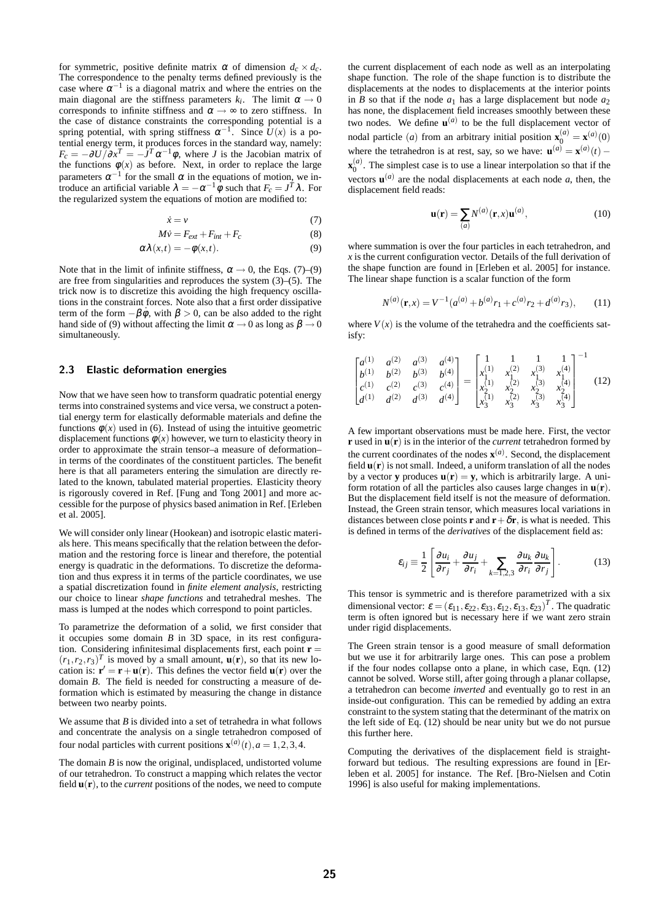for symmetric, positive definite matrix  $\alpha$  of dimension  $d_c \times d_c$ . The correspondence to the penalty terms defined previously is the case where  $\alpha^{-1}$  is a diagonal matrix and where the entries on the main diagonal are the stiffness parameters  $k_i$ . The limit  $\alpha \to 0$ corresponds to infinite stiffness and  $\alpha \rightarrow \infty$  to zero stiffness. In the case of distance constraints the corresponding potential is a spring potential, with spring stiffness  $\alpha^{-1}$ . Since  $U(x)$  is a potential energy term, it produces forces in the standard way, namely:  $F_c = -\partial U / \partial x^T = -\partial^T \alpha^{-1} \phi$ , where *J* is the Jacobian matrix of the functions  $\phi(x)$  as before. Next, in order to replace the large parameters  $\alpha^{-1}$  for the small  $\alpha$  in the equations of motion, we introduce an artificial variable  $\lambda = -\alpha^{-1} \hat{\phi}$  such that  $F_c = J^T \lambda$ . For the regularized system the equations of motion are modified to:

$$
\dot{x} = v \tag{7}
$$

$$
M\dot{v} = F_{ext} + F_{int} + F_c \tag{8}
$$

$$
\alpha \lambda(x,t) = -\phi(x,t). \tag{9}
$$

Note that in the limit of infinite stiffness,  $\alpha \rightarrow 0$ , the Eqs. (7)–(9) are free from singularities and reproduces the system (3)–(5). The trick now is to discretize this avoiding the high frequency oscillations in the constraint forces. Note also that a first order dissipative term of the form  $-\beta \dot{\phi}$ , with  $\beta > 0$ , can be also added to the right hand side of (9) without affecting the limit  $\alpha \rightarrow 0$  as long as  $\beta \rightarrow 0$ simultaneously.

#### 2.3 Elastic deformation energies

Now that we have seen how to transform quadratic potential energy terms into constrained systems and vice versa, we construct a potential energy term for elastically deformable materials and define the functions  $\phi(x)$  used in (6). Instead of using the intuitive geometric displacement functions  $\phi(x)$  however, we turn to elasticity theory in order to approximate the strain tensor–a measure of deformation– in terms of the coordinates of the constituent particles. The benefit here is that all parameters entering the simulation are directly related to the known, tabulated material properties. Elasticity theory is rigorously covered in Ref. [Fung and Tong 2001] and more accessible for the purpose of physics based animation in Ref. [Erleben et al. 2005].

We will consider only linear (Hookean) and isotropic elastic materials here. This means specifically that the relation between the deformation and the restoring force is linear and therefore, the potential energy is quadratic in the deformations. To discretize the deformation and thus express it in terms of the particle coordinates, we use a spatial discretization found in *finite element analysis*, restricting our choice to linear *shape functions* and tetrahedral meshes. The mass is lumped at the nodes which correspond to point particles.

To parametrize the deformation of a solid, we first consider that it occupies some domain *B* in 3D space, in its rest configuration. Considering infinitesimal displacements first, each point **r** =  $(r_1, r_2, r_3)^T$  is moved by a small amount,  $\mathbf{u}(\mathbf{r})$ , so that its new location is:  $\mathbf{r}' = \mathbf{r} + \mathbf{u}(\mathbf{r})$ . This defines the vector field  $\mathbf{u}(\mathbf{r})$  over the domain *B*. The field is needed for constructing a measure of deformation which is estimated by measuring the change in distance between two nearby points.

We assume that *B* is divided into a set of tetrahedra in what follows and concentrate the analysis on a single tetrahedron composed of four nodal particles with current positions  $\mathbf{x}^{(a)}(t)$ ,  $a = 1, 2, 3, 4$ .

The domain *B* is now the original, undisplaced, undistorted volume of our tetrahedron. To construct a mapping which relates the vector field  $\mathbf{u}(\mathbf{r})$ , to the *current* positions of the nodes, we need to compute the current displacement of each node as well as an interpolating shape function. The role of the shape function is to distribute the displacements at the nodes to displacements at the interior points in *B* so that if the node  $a_1$  has a large displacement but node  $a_2$ has none, the displacement field increases smoothly between these two nodes. We define  $\mathbf{u}^{(a)}$  to be the full displacement vector of nodal particle (*a*) from an arbitrary initial position  $\mathbf{x}_0^{(a)} = \mathbf{x}^{(a)}(0)$ where the tetrahedron is at rest, say, so we have:  $\mathbf{u}^{(a)} = \mathbf{x}^{(a)}(t)$  –  $\mathbf{x}_0^{(a)}$ . The simplest case is to use a linear interpolation so that if the vectors  $\mathbf{u}^{(a)}$  are the nodal displacements at each node *a*, then, the displacement field reads:

$$
\mathbf{u}(\mathbf{r}) = \sum_{(a)} N^{(a)}(\mathbf{r}, x) \mathbf{u}^{(a)},
$$
\n(10)

where summation is over the four particles in each tetrahedron, and  $x$  is the current configuration vector. Details of the full derivation of the shape function are found in [Erleben et al. 2005] for instance. The linear shape function is a scalar function of the form

$$
N^{(a)}(\mathbf{r},x) = V^{-1}(a^{(a)} + b^{(a)}r_1 + c^{(a)}r_2 + d^{(a)}r_3), \qquad (11)
$$

where  $V(x)$  is the volume of the tetrahedra and the coefficients satisfy:

$$
\begin{bmatrix} a^{(1)} & a^{(2)} & a^{(3)} & a^{(4)} \ b^{(1)} & b^{(2)} & b^{(3)} & b^{(4)} \ c^{(1)} & c^{(2)} & c^{(3)} & c^{(4)} \ d^{(1)} & d^{(2)} & d^{(3)} & d^{(4)} \end{bmatrix} = \begin{bmatrix} 1 & 1 & 1 & 1 \ x_1^{(1)} & x_1^{(2)} & x_1^{(3)} & x_1^{(4)} \ x_2^{(1)} & x_2^{(2)} & x_2^{(3)} & x_2^{(4)} \ x_3^{(1)} & x_3^{(2)} & x_3^{(3)} & x_3^{(4)} \end{bmatrix}^{-1}
$$
(12)

A few important observations must be made here. First, the vector **r** used in **u**(**r**) is in the interior of the *current* tetrahedron formed by the current coordinates of the nodes  $\mathbf{x}^{(a)}$ . Second, the displacement field  $\mathbf{u}(\mathbf{r})$  is not small. Indeed, a uniform translation of all the nodes by a vector **y** produces  $\mathbf{u}(\mathbf{r}) = \mathbf{y}$ , which is arbitrarily large. A uniform rotation of all the particles also causes large changes in  $\mathbf{u}(\mathbf{r})$ . But the displacement field itself is not the measure of deformation. Instead, the Green strain tensor, which measures local variations in distances between close points **r** and  $\mathbf{r} + \delta \mathbf{r}$ , is what is needed. This is defined in terms of the *derivatives* of the displacement field as:

$$
\varepsilon_{ij} \equiv \frac{1}{2} \left[ \frac{\partial u_i}{\partial r_j} + \frac{\partial u_j}{\partial r_i} + \sum_{k=1,2,3} \frac{\partial u_k}{\partial r_i} \frac{\partial u_k}{\partial r_j} \right].
$$
 (13)

This tensor is symmetric and is therefore parametrized with a six dimensional vector:  $\boldsymbol{\varepsilon} = (\varepsilon_{11}, \varepsilon_{22}, \varepsilon_{33}, \varepsilon_{12}, \varepsilon_{13}, \varepsilon_{23})^T$ . The quadratic term is often ignored but is necessary here if we want zero strain under rigid displacements.

The Green strain tensor is a good measure of small deformation but we use it for arbitrarily large ones. This can pose a problem if the four nodes collapse onto a plane, in which case, Eqn. (12) cannot be solved. Worse still, after going through a planar collapse, a tetrahedron can become *inverted* and eventually go to rest in an inside-out configuration. This can be remedied by adding an extra constraint to the system stating that the determinant of the matrix on the left side of Eq. (12) should be near unity but we do not pursue this further here.

Computing the derivatives of the displacement field is straightforward but tedious. The resulting expressions are found in [Erleben et al. 2005] for instance. The Ref. [Bro-Nielsen and Cotin 1996] is also useful for making implementations.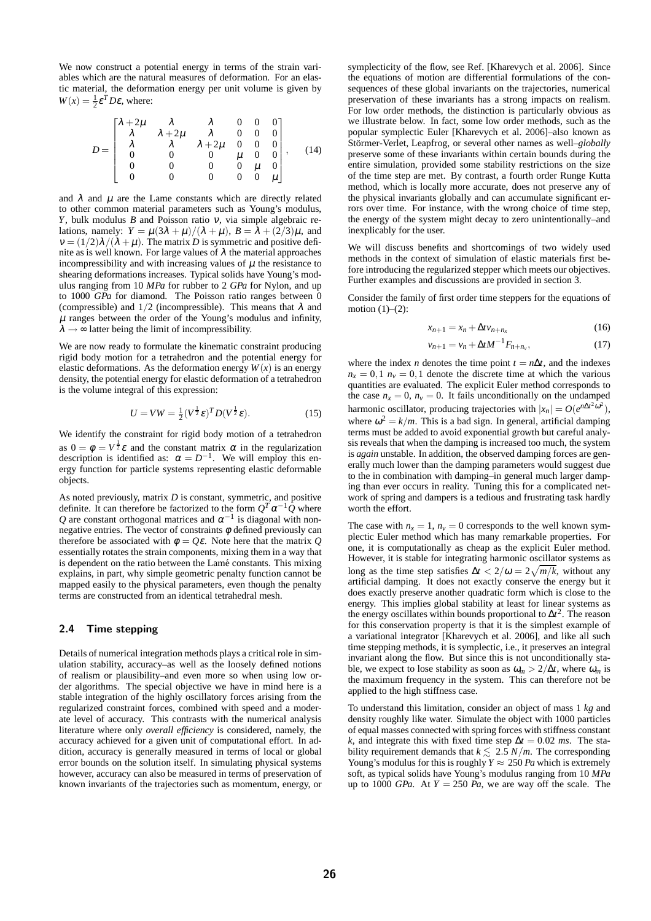We now construct a potential energy in terms of the strain variables which are the natural measures of deformation. For an elastic material, the deformation energy per unit volume is given by  $W(x) = \frac{1}{2} \varepsilon^T D \varepsilon$ , where:

$$
D = \begin{bmatrix} \lambda + 2\mu & \lambda & \lambda & 0 & 0 & 0 \\ \lambda & \lambda + 2\mu & \lambda & 0 & 0 & 0 \\ \lambda & \lambda & \lambda + 2\mu & 0 & 0 & 0 \\ 0 & 0 & 0 & \mu & 0 & 0 \\ 0 & 0 & 0 & 0 & \mu & 0 \\ 0 & 0 & 0 & 0 & 0 & \mu \end{bmatrix}, \quad (14)
$$

and  $\lambda$  and  $\mu$  are the Lame constants which are directly related to other common material parameters such as Young's modulus, *Y*, bulk modulus *B* and Poisson ratio <sup>ν</sup>, via simple algebraic relations, namely:  $Y = \mu(3\lambda + \mu)/(\lambda + \mu)$ ,  $B = \overline{\lambda} + (2/3)\mu$ , and  $v = (1/2)\lambda/(\lambda + \mu)$ . The matrix *D* is symmetric and positive definite as is well known. For large values of  $\lambda$  the material approaches incompressibility and with increasing values of  $\mu$  the resistance to shearing deformations increases. Typical solids have Young's modulus ranging from 10 *MPa* for rubber to 2 *GPa* for Nylon, and up to 1000 *GPa* for diamond. The Poisson ratio ranges between 0 (compressible) and  $1/2$  (incompressible). This means that  $\lambda$  and  $\mu$  ranges between the order of the Young's modulus and infinity,  $\lambda \rightarrow \infty$  latter being the limit of incompressibility.

We are now ready to formulate the kinematic constraint producing rigid body motion for a tetrahedron and the potential energy for elastic deformations. As the deformation energy  $W(x)$  is an energy density, the potential energy for elastic deformation of a tetrahedron is the volume integral of this expression:

$$
U = VW = \frac{1}{2} (V^{\frac{1}{2}} \varepsilon)^T D (V^{\frac{1}{2}} \varepsilon).
$$
 (15)

We identify the constraint for rigid body motion of a tetrahedron as  $0 = \phi = V^{\frac{1}{2}} \varepsilon$  and the constant matrix  $\alpha$  in the regularization description is identified as:  $\alpha = D^{-1}$ . We will employ this energy function for particle systems representing elastic deformable objects.

As noted previously, matrix *D* is constant, symmetric, and positive definite. It can therefore be factorized to the form  $Q^T \alpha^{-1} Q$  where Q are constant orthogonal matrices and  $\alpha^{-1}$  is diagonal with nonnegative entries. The vector of constraints  $\phi$  defined previously can therefore be associated with  $\phi = Q\varepsilon$ . Note here that the matrix *Q* essentially rotates the strain components, mixing them in a way that is dependent on the ratio between the Lamé constants. This mixing explains, in part, why simple geometric penalty function cannot be mapped easily to the physical parameters, even though the penalty terms are constructed from an identical tetrahedral mesh.

#### 2.4 Time stepping

Details of numerical integration methods plays a critical role in simulation stability, accuracy–as well as the loosely defined notions of realism or plausibility–and even more so when using low order algorithms. The special objective we have in mind here is a stable integration of the highly oscillatory forces arising from the regularized constraint forces, combined with speed and a moderate level of accuracy. This contrasts with the numerical analysis literature where only *overall efficiency* is considered, namely, the accuracy achieved for a given unit of computational effort. In addition, accuracy is generally measured in terms of local or global error bounds on the solution itself. In simulating physical systems however, accuracy can also be measured in terms of preservation of known invariants of the trajectories such as momentum, energy, or symplecticity of the flow, see Ref. [Kharevych et al. 2006]. Since the equations of motion are differential formulations of the consequences of these global invariants on the trajectories, numerical preservation of these invariants has a strong impacts on realism. For low order methods, the distinction is particularly obvious as we illustrate below. In fact, some low order methods, such as the popular symplectic Euler [Kharevych et al. 2006]–also known as Störmer-Verlet, Leapfrog, or several other names as well–*globally* preserve some of these invariants within certain bounds during the entire simulation, provided some stability restrictions on the size of the time step are met. By contrast, a fourth order Runge Kutta method, which is locally more accurate, does not preserve any of the physical invariants globally and can accumulate significant errors over time. For instance, with the wrong choice of time step, the energy of the system might decay to zero unintentionally–and inexplicably for the user.

We will discuss benefits and shortcomings of two widely used methods in the context of simulation of elastic materials first before introducing the regularized stepper which meets our objectives. Further examples and discussions are provided in section 3.

Consider the family of first order time steppers for the equations of motion  $(1)$ – $(2)$ :

$$
x_{n+1} = x_n + \Delta t v_{n+n_x} \tag{16}
$$

$$
v_{n+1} = v_n + \Delta t M^{-1} F_{n+n_v},
$$
\n(17)

where the index *n* denotes the time point  $t = n\Delta t$ , and the indexes  $n_x = 0, 1$   $n_y = 0, 1$  denote the discrete time at which the various quantities are evaluated. The explicit Euler method corresponds to the case  $n_x = 0$ ,  $n_y = 0$ . It fails unconditionally on the undamped harmonic oscillator, producing trajectories with  $|x_n| = O(e^{n\Delta t^2 \omega^2})$ , where  $\omega^2 = k/m$ . This is a bad sign. In general, artificial damping terms must be added to avoid exponential growth but careful analysis reveals that when the damping is increased too much, the system is *again* unstable. In addition, the observed damping forces are generally much lower than the damping parameters would suggest due to the in combination with damping–in general much larger damping than ever occurs in reality. Tuning this for a complicated network of spring and dampers is a tedious and frustrating task hardly worth the effort.

The case with  $n_x = 1$ ,  $n_y = 0$  corresponds to the well known symplectic Euler method which has many remarkable properties. For one, it is computationally as cheap as the explicit Euler method. However, it is stable for integrating harmonic oscillator systems as long as the time step satisfies  $\Delta t < 2/\omega = 2\sqrt{m/k}$ , without any artificial damping. It does not exactly conserve the energy but it does exactly preserve another quadratic form which is close to the energy. This implies global stability at least for linear systems as the energy oscillates within bounds proportional to ∆*t* 2 . The reason for this conservation property is that it is the simplest example of a variational integrator [Kharevych et al. 2006], and like all such time stepping methods, it is symplectic, i.e., it preserves an integral invariant along the flow. But since this is not unconditionally stable, we expect to lose stability as soon as  $\omega_m > 2/\Delta t$ , where  $\omega_m$  is the maximum frequency in the system. This can therefore not be applied to the high stiffness case.

To understand this limitation, consider an object of mass 1 *kg* and density roughly like water. Simulate the object with 1000 particles of equal masses connected with spring forces with stiffness constant *k*, and integrate this with fixed time step  $\Delta t = 0.02$  *ms*. The stability requirement demands that  $k \lesssim 2.5$  *N/m*. The corresponding Young's modulus for this is roughly  $Y \approx 250$  *Pa* which is extremely soft, as typical solids have Young's modulus ranging from 10 *MPa* up to 1000 *GPa*. At  $Y = 250$  *Pa*, we are way off the scale. The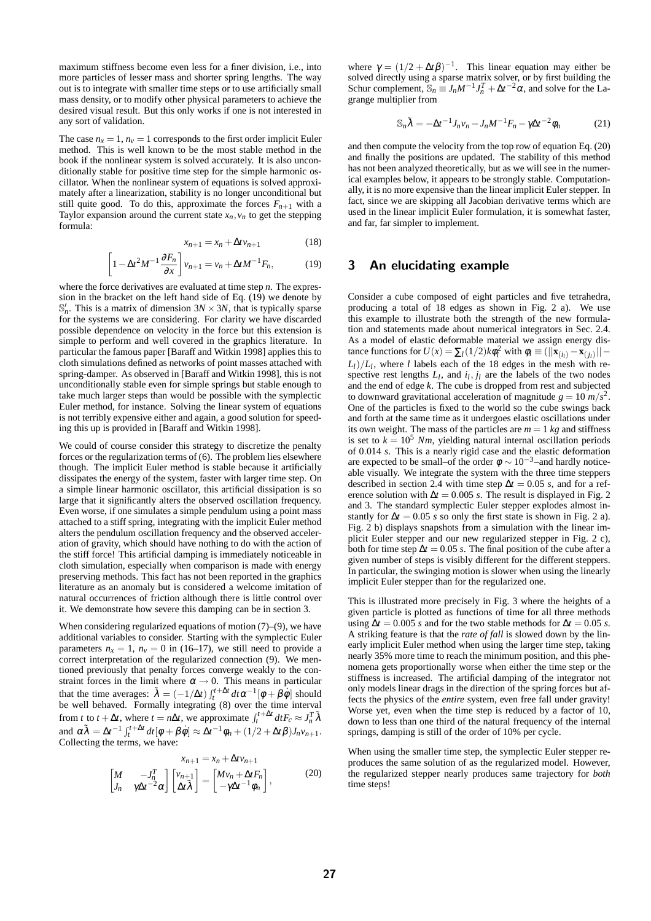maximum stiffness become even less for a finer division, i.e., into more particles of lesser mass and shorter spring lengths. The way out is to integrate with smaller time steps or to use artificially small mass density, or to modify other physical parameters to achieve the desired visual result. But this only works if one is not interested in any sort of validation.

The case  $n_x = 1$ ,  $n_y = 1$  corresponds to the first order implicit Euler method. This is well known to be the most stable method in the book if the nonlinear system is solved accurately. It is also unconditionally stable for positive time step for the simple harmonic oscillator. When the nonlinear system of equations is solved approximately after a linearization, stability is no longer unconditional but still quite good. To do this, approximate the forces  $F_{n+1}$  with a Taylor expansion around the current state  $x_n$ ,  $v_n$  to get the stepping formula:

 $\sqrt{ }$ 

$$
x_{n+1} = x_n + \Delta t v_{n+1} \tag{18}
$$

$$
1 - \Delta t^2 M^{-1} \frac{\partial F_n}{\partial x} \bigg] v_{n+1} = v_n + \Delta t M^{-1} F_n,
$$
 (19)

where the force derivatives are evaluated at time step *n*. The expression in the bracket on the left hand side of Eq. (19) we denote by  $\mathbb{S}'_n$ . This is a matrix of dimension  $3N \times 3N$ , that is typically sparse for the systems we are considering. For clarity we have discarded possible dependence on velocity in the force but this extension is simple to perform and well covered in the graphics literature. In particular the famous paper [Baraff and Witkin 1998] applies this to cloth simulations defined as networks of point masses attached with spring-damper. As observed in [Baraff and Witkin 1998], this is not unconditionally stable even for simple springs but stable enough to take much larger steps than would be possible with the symplectic Euler method, for instance. Solving the linear system of equations is not terribly expensive either and again, a good solution for speeding this up is provided in [Baraff and Witkin 1998].

We could of course consider this strategy to discretize the penalty forces or the regularization terms of (6). The problem lies elsewhere though. The implicit Euler method is stable because it artificially dissipates the energy of the system, faster with larger time step. On a simple linear harmonic oscillator, this artificial dissipation is so large that it significantly alters the observed oscillation frequency. Even worse, if one simulates a simple pendulum using a point mass attached to a stiff spring, integrating with the implicit Euler method alters the pendulum oscillation frequency and the observed acceleration of gravity, which should have nothing to do with the action of the stiff force! This artificial damping is immediately noticeable in cloth simulation, especially when comparison is made with energy preserving methods. This fact has not been reported in the graphics literature as an anomaly but is considered a welcome imitation of natural occurrences of friction although there is little control over it. We demonstrate how severe this damping can be in section 3.

When considering regularized equations of motion (7)–(9), we have additional variables to consider. Starting with the symplectic Euler parameters  $n_x = 1$ ,  $n_y = 0$  in (16–17), we still need to provide a correct interpretation of the regularized connection (9). We mentioned previously that penalty forces converge weakly to the constraint forces in the limit where  $\alpha \rightarrow 0$ . This means in particular that the time averages:  $\tilde{\lambda} = (-1/\Delta t) \int_t^{t+\Delta t} dt \alpha^{-1} [\phi + \beta \dot{\phi}]$  should be well behaved. Formally integrating (8) over the time interval from *t* to *t* +  $\Delta t$ , where *t* = *n* $\Delta t$ , we approximate  $\int_t^{t + \Delta t} dt F_c \approx J_n^T \tilde{\lambda}$ and  $\alpha \tilde{\lambda} = \Delta t^{-1} \int_t^{t + \Delta t} dt [\phi + \beta \dot{\phi}] \approx \Delta t^{-1} \phi_n + (1/2 + \Delta t \beta) J_n v_{n+1}$ . Collecting the terms, we have:

$$
x_{n+1} = x_n + \Delta t v_{n+1}
$$
  
\n
$$
\begin{bmatrix} M & -J_n^T \\ J_n & \gamma \Delta t^{-2} \alpha \end{bmatrix} \begin{bmatrix} v_{n+1} \\ \Delta t \tilde{\lambda} \end{bmatrix} = \begin{bmatrix} Mv_n + \Delta t F_n \\ -\gamma \Delta t^{-1} \phi_n \end{bmatrix},
$$
 (20)

where  $\gamma = (1/2 + \Delta t \beta)^{-1}$ . This linear equation may either be solved directly using a sparse matrix solver, or by first building the Schur complement,  $\mathbb{S}_n \equiv J_n M^{-1} J_n^T + \Delta t^{-2} \alpha$ , and solve for the Lagrange multiplier from

$$
\mathbb{S}_n \tilde{\lambda} = -\Delta t^{-1} J_n v_n - J_n M^{-1} F_n - \gamma \Delta t^{-2} \phi_n \tag{21}
$$

and then compute the velocity from the top row of equation Eq. (20) and finally the positions are updated. The stability of this method has not been analyzed theoretically, but as we will see in the numerical examples below, it appears to be strongly stable. Computationally, it is no more expensive than the linear implicit Euler stepper. In fact, since we are skipping all Jacobian derivative terms which are used in the linear implicit Euler formulation, it is somewhat faster, and far, far simpler to implement.

# 3 An elucidating example

Consider a cube composed of eight particles and five tetrahedra, producing a total of 18 edges as shown in Fig. 2 a). We use this example to illustrate both the strength of the new formulation and statements made about numerical integrators in Sec. 2.4. As a model of elastic deformable material we assign energy distance functions for  $U(x) = \sum_l (1/2) k \phi_l^2$  with  $\phi_l \equiv (||\mathbf{x}_{(i_l)} - \mathbf{x}_{(j_l)}|| L_l$ )/ $L_l$ , where *l* labels each of the 18 edges in the mesh with respective rest lengths  $L_l$ , and  $i_l$ ,  $j_l$  are the labels of the two nodes and the end of edge *k*. The cube is dropped from rest and subjected to downward gravitational acceleration of magnitude  $g = 10 \frac{m}{s^2}$ . One of the particles is fixed to the world so the cube swings back and forth at the same time as it undergoes elastic oscillations under its own weight. The mass of the particles are  $m = 1$  *kg* and stiffness is set to  $k = 10^5$  *Nm*, yielding natural internal oscillation periods of 0.014 *s*. This is a nearly rigid case and the elastic deformation are expected to be small–of the order  $\phi \sim 10^{-3}$ –and hardly noticeable visually. We integrate the system with the three time steppers described in section 2.4 with time step  $\Delta t = 0.05$  *s*, and for a reference solution with  $\Delta t = 0.005$  *s*. The result is displayed in Fig. 2 and 3. The standard symplectic Euler stepper explodes almost instantly for  $\Delta t = 0.05$  *s* so only the first state is shown in Fig. 2 a). Fig. 2 b) displays snapshots from a simulation with the linear implicit Euler stepper and our new regularized stepper in Fig. 2 c), both for time step  $\Delta t = 0.05$  *s*. The final position of the cube after a given number of steps is visibly different for the different steppers. In particular, the swinging motion is slower when using the linearly implicit Euler stepper than for the regularized one.

This is illustrated more precisely in Fig. 3 where the heights of a given particle is plotted as functions of time for all three methods using  $\Delta t = 0.005$  *s* and for the two stable methods for  $\Delta t = 0.05$  *s*. A striking feature is that the *rate of fall* is slowed down by the linearly implicit Euler method when using the larger time step, taking nearly 35% more time to reach the minimum position, and this phenomena gets proportionally worse when either the time step or the stiffness is increased. The artificial damping of the integrator not only models linear drags in the direction of the spring forces but affects the physics of the *entire* system, even free fall under gravity! Worse yet, even when the time step is reduced by a factor of 10, down to less than one third of the natural frequency of the internal springs, damping is still of the order of 10% per cycle.

When using the smaller time step, the symplectic Euler stepper reproduces the same solution of as the regularized model. However, the regularized stepper nearly produces same trajectory for *both* time steps!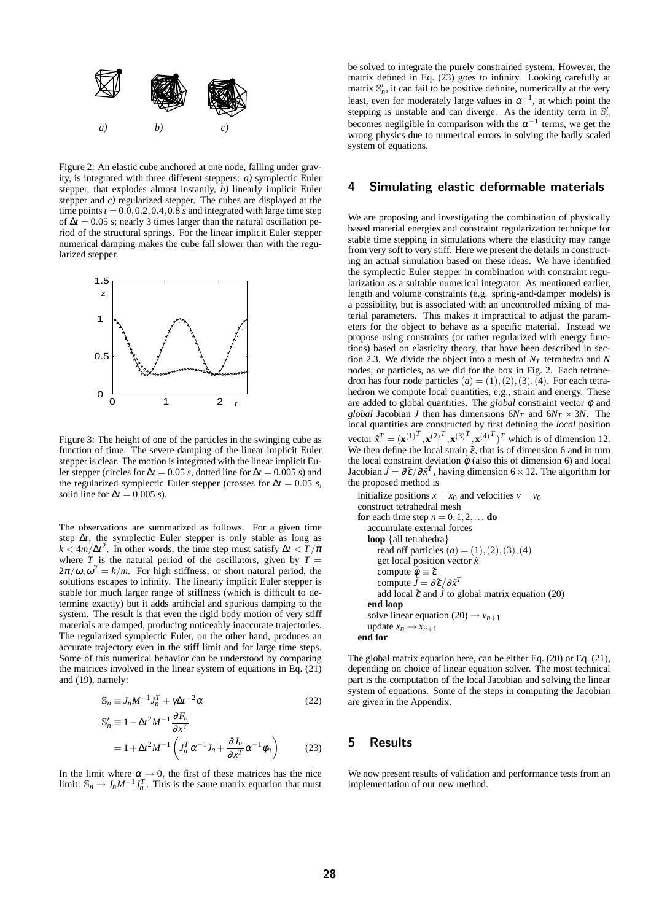

Figure 2: An elastic cube anchored at one node, falling under gravity, is integrated with three different steppers: *a)* symplectic Euler stepper, that explodes almost instantly, *b)* linearly implicit Euler stepper and *c)* regularized stepper. The cubes are displayed at the time points  $t = 0.0, 0.2, 0.4, 0.8$  *s* and integrated with large time step of ∆*t* = 0.05 *s*; nearly 3 times larger than the natural oscillation period of the structural springs. For the linear implicit Euler stepper numerical damping makes the cube fall slower than with the regularized stepper.



Figure 3: The height of one of the particles in the swinging cube as function of time. The severe damping of the linear implicit Euler stepper is clear. The motion is integrated with the linear implicit Euler stepper (circles for  $\Delta t = 0.05$  *s*, dotted line for  $\Delta t = 0.005$  *s*) and the regularized symplectic Euler stepper (crosses for  $\Delta t = 0.05$  *s*, solid line for  $\Delta t = 0.005$  *s*).

The observations are summarized as follows. For a given time step ∆*t*, the symplectic Euler stepper is only stable as long as  $k < 4m/\Delta t^2$ . In other words, the time step must satisfy  $\Delta t < T/\pi$ where  $T$  is the natural period of the oscillators, given by  $T =$  $2\pi/\omega$ ,  $\omega^2 = k/m$ . For high stiffness, or short natural period, the solutions escapes to infinity. The linearly implicit Euler stepper is stable for much larger range of stiffness (which is difficult to determine exactly) but it adds artificial and spurious damping to the system. The result is that even the rigid body motion of very stiff materials are damped, producing noticeably inaccurate trajectories. The regularized symplectic Euler, on the other hand, produces an accurate trajectory even in the stiff limit and for large time steps. Some of this numerical behavior can be understood by comparing the matrices involved in the linear system of equations in Eq. (21) and (19), namely:

$$
\mathbb{S}_n \equiv J_n M^{-1} J_n^T + \gamma \Delta t^{-2} \alpha \tag{22}
$$

$$
\begin{split} \mathbb{S}'_{n} &\equiv 1 - \Delta t^{2} M^{-1} \frac{\partial F_{n}}{\partial x^{T}} \\ &= 1 + \Delta t^{2} M^{-1} \left( J_{n}^{T} \alpha^{-1} J_{n} + \frac{\partial J_{n}}{\partial x^{T}} \alpha^{-1} \phi_{n} \right) \end{split} \tag{23}
$$

In the limit where  $\alpha \rightarrow 0$ , the first of these matrices has the nice limit:  $\mathbb{S}_n \to J_n M^{-1} J_n^T$ . This is the same matrix equation that must

be solved to integrate the purely constrained system. However, the matrix defined in Eq. (23) goes to infinity. Looking carefully at matrix  $\mathbb{S}'_n$ , it can fail to be positive definite, numerically at the very least, even for moderately large values in  $\alpha^{-1}$ , at which point the stepping is unstable and can diverge. As the identity term in  $\mathbb{S}'_n$ becomes negligible in comparison with the  $\alpha^{-1}$  terms, we get the wrong physics due to numerical errors in solving the badly scaled system of equations.

### 4 Simulating elastic deformable materials

We are proposing and investigating the combination of physically based material energies and constraint regularization technique for stable time stepping in simulations where the elasticity may range from very soft to very stiff. Here we present the details in constructing an actual simulation based on these ideas. We have identified the symplectic Euler stepper in combination with constraint regularization as a suitable numerical integrator. As mentioned earlier, length and volume constraints (e.g. spring-and-damper models) is a possibility, but is associated with an uncontrolled mixing of material parameters. This makes it impractical to adjust the parameters for the object to behave as a specific material. Instead we propose using constraints (or rather regularized with energy functions) based on elasticity theory, that have been described in section 2.3. We divide the object into a mesh of  $N_T$  tetrahedra and N nodes, or particles, as we did for the box in Fig. 2. Each tetrahedron has four node particles  $(a) = (1), (2), (3), (4)$ . For each tetrahedron we compute local quantities, e.g., strain and energy. These are added to global quantities. The *global* constraint vector  $\phi$  and *global* Jacobian *J* then has dimensions  $6N_T$  and  $6N_T \times 3N$ . The local quantities are constructed by first defining the *local* position vector  $\tilde{x}^T = (\mathbf{x}^{(1)^T}, \mathbf{x}^{(2)^T}, \mathbf{x}^{(3)^T}, \mathbf{x}^{(4)^T})^T$  which is of dimension 12. We then define the local strain  $\tilde{\varepsilon}$ , that is of dimension 6 and in turn the local constraint deviation  $\tilde{\phi}$  (also this of dimension 6) and local Jacobian  $\tilde{J} = \partial \tilde{\varepsilon}/\partial \tilde{x}^T$ , having dimension 6 × 12. The algorithm for the proposed method is

```
initialize positions x = x_0 and velocities v = v_0construct tetrahedral mesh
for each time step n = 0, 1, 2, \ldots do
   accumulate external forces
   loop {all tetrahedra}
      read off particles (a) = (1), (2), (3), (4)get local position vector ˜x
       compute \tilde{\phi} \equiv \tilde{\varepsilon}compute \tilde{J} = \partial \tilde{\varepsilon}/\partial \tilde{x}^Tadd local \tilde{\varepsilon} and \tilde{J} to global matrix equation (20)
   end loop
   solve linear equation (20) \rightarrow v_{n+1}update x_n \rightarrow x_{n+1}end for
```
The global matrix equation here, can be either Eq. (20) or Eq. (21), depending on choice of linear equation solver. The most technical part is the computation of the local Jacobian and solving the linear system of equations. Some of the steps in computing the Jacobian are given in the Appendix.

# 5 Results

We now present results of validation and performance tests from an implementation of our new method.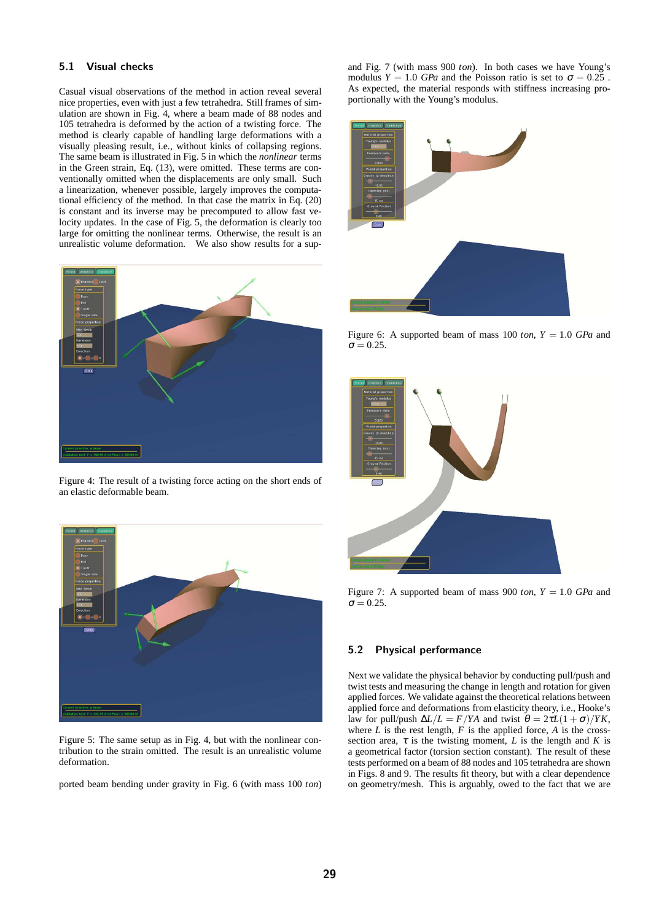## 5.1 Visual checks

Casual visual observations of the method in action reveal several nice properties, even with just a few tetrahedra. Still frames of simulation are shown in Fig. 4, where a beam made of 88 nodes and 105 tetrahedra is deformed by the action of a twisting force. The method is clearly capable of handling large deformations with a visually pleasing result, i.e., without kinks of collapsing regions. The same beam is illustrated in Fig. 5 in which the *nonlinear* terms in the Green strain, Eq. (13), were omitted. These terms are conventionally omitted when the displacements are only small. Such a linearization, whenever possible, largely improves the computational efficiency of the method. In that case the matrix in Eq. (20) is constant and its inverse may be precomputed to allow fast velocity updates. In the case of Fig. 5, the deformation is clearly too large for omitting the nonlinear terms. Otherwise, the result is an unrealistic volume deformation. We also show results for a sup-



Figure 4: The result of a twisting force acting on the short ends of an elastic deformable beam.



Figure 5: The same setup as in Fig. 4, but with the nonlinear contribution to the strain omitted. The result is an unrealistic volume deformation.

ported beam bending under gravity in Fig. 6 (with mass 100 *ton*)

and Fig. 7 (with mass 900 *ton*). In both cases we have Young's modulus  $Y = 1.0$  *GPa* and the Poisson ratio is set to  $\sigma = 0.25$ . As expected, the material responds with stiffness increasing proportionally with the Young's modulus.



Figure 6: A supported beam of mass 100 *ton*,  $Y = 1.0$  *GPa* and  $\sigma = 0.25$ .



Figure 7: A supported beam of mass 900 *ton*,  $Y = 1.0$  *GPa* and  $\sigma = 0.25$ 

#### 5.2 Physical performance

Next we validate the physical behavior by conducting pull/push and twist tests and measuring the change in length and rotation for given applied forces. We validate against the theoretical relations between applied force and deformations from elasticity theory, i.e., Hooke's law for pull/push  $\Delta L/L = F/YA$  and twist  $\theta = 2\tau L(1+\sigma)/YK$ , where  $L$  is the rest length,  $F$  is the applied force,  $A$  is the crosssection area,  $\tau$  is the twisting moment, *L* is the length and *K* is a geometrical factor (torsion section constant). The result of these tests performed on a beam of 88 nodes and 105 tetrahedra are shown in Figs. 8 and 9. The results fit theory, but with a clear dependence on geometry/mesh. This is arguably, owed to the fact that we are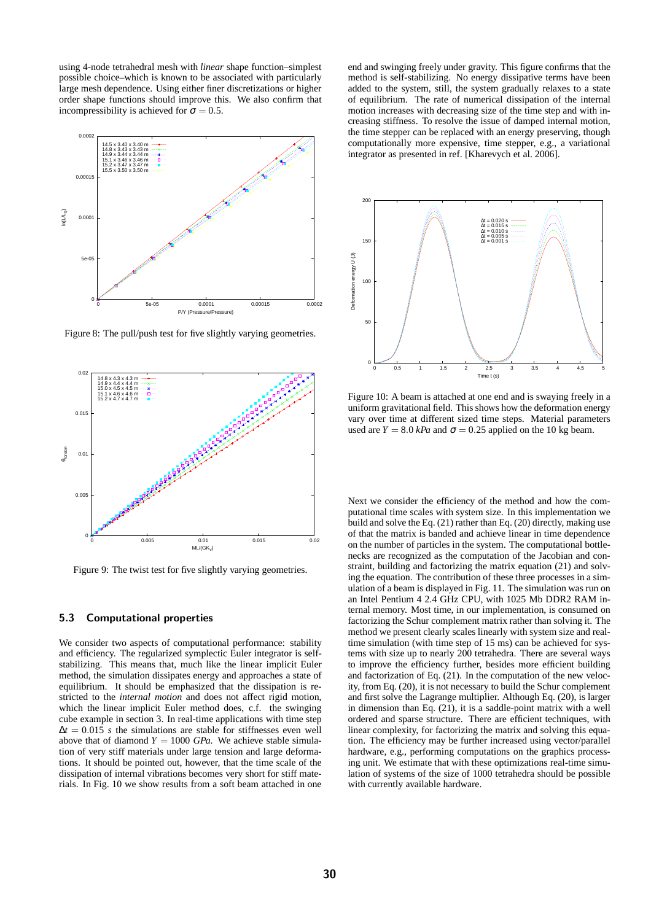using 4-node tetrahedral mesh with *linear* shape function–simplest possible choice–which is known to be associated with particularly large mesh dependence. Using either finer discretizations or higher order shape functions should improve this. We also confirm that incompressibility is achieved for  $\sigma = 0.5$ .



Figure 8: The pull/push test for five slightly varying geometries.



Figure 9: The twist test for five slightly varying geometries.

#### 5.3 Computational properties

We consider two aspects of computational performance: stability and efficiency. The regularized symplectic Euler integrator is selfstabilizing. This means that, much like the linear implicit Euler method, the simulation dissipates energy and approaches a state of equilibrium. It should be emphasized that the dissipation is restricted to the *internal motion* and does not affect rigid motion, which the linear implicit Euler method does, c.f. the swinging cube example in section 3. In real-time applications with time step  $\Delta t = 0.015$  *s* the simulations are stable for stiffnesses even well above that of diamond  $Y = 1000$  *GPa*. We achieve stable simulation of very stiff materials under large tension and large deformations. It should be pointed out, however, that the time scale of the dissipation of internal vibrations becomes very short for stiff materials. In Fig. 10 we show results from a soft beam attached in one

end and swinging freely under gravity. This figure confirms that the method is self-stabilizing. No energy dissipative terms have been added to the system, still, the system gradually relaxes to a state of equilibrium. The rate of numerical dissipation of the internal motion increases with decreasing size of the time step and with increasing stiffness. To resolve the issue of damped internal motion, the time stepper can be replaced with an energy preserving, though computationally more expensive, time stepper, e.g., a variational integrator as presented in ref. [Kharevych et al. 2006].



Figure 10: A beam is attached at one end and is swaying freely in a uniform gravitational field. This shows how the deformation energy vary over time at different sized time steps. Material parameters used are  $Y = 8.0$  *kPa* and  $\sigma = 0.25$  applied on the 10 kg beam.

Next we consider the efficiency of the method and how the computational time scales with system size. In this implementation we build and solve the Eq. (21) rather than Eq. (20) directly, making use of that the matrix is banded and achieve linear in time dependence on the number of particles in the system. The computational bottlenecks are recognized as the computation of the Jacobian and constraint, building and factorizing the matrix equation (21) and solving the equation. The contribution of these three processes in a simulation of a beam is displayed in Fig. 11. The simulation was run on an Intel Pentium 4 2.4 GHz CPU, with 1025 Mb DDR2 RAM internal memory. Most time, in our implementation, is consumed on factorizing the Schur complement matrix rather than solving it. The method we present clearly scales linearly with system size and realtime simulation (with time step of 15 ms) can be achieved for systems with size up to nearly 200 tetrahedra. There are several ways to improve the efficiency further, besides more efficient building and factorization of Eq. (21). In the computation of the new velocity, from Eq. (20), it is not necessary to build the Schur complement and first solve the Lagrange multiplier. Although Eq. (20), is larger in dimension than Eq. (21), it is a saddle-point matrix with a well ordered and sparse structure. There are efficient techniques, with linear complexity, for factorizing the matrix and solving this equation. The efficiency may be further increased using vector/parallel hardware, e.g., performing computations on the graphics processing unit. We estimate that with these optimizations real-time simulation of systems of the size of 1000 tetrahedra should be possible with currently available hardware.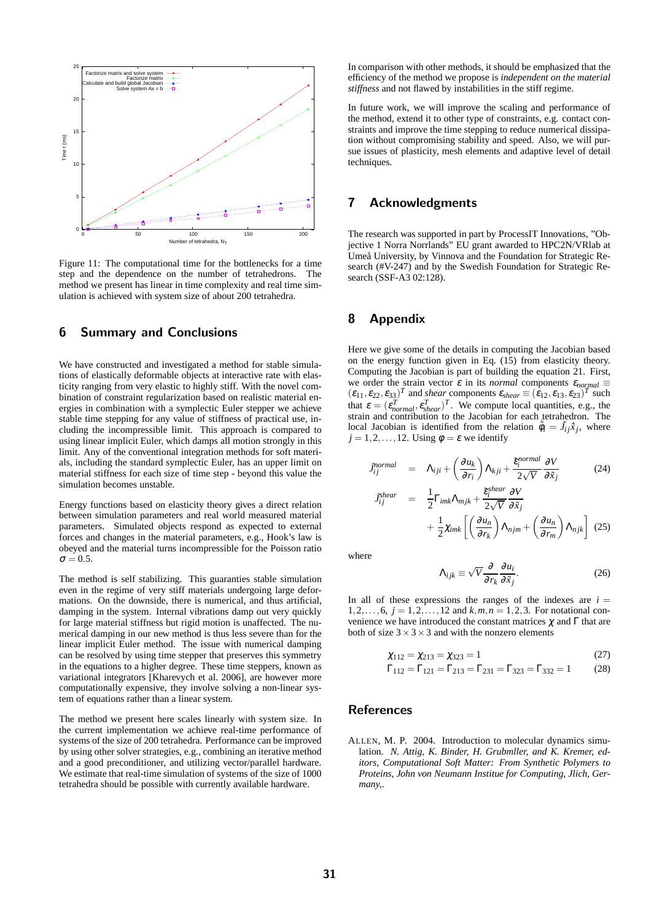

Figure 11: The computational time for the bottlenecks for a time step and the dependence on the number of tetrahedrons. The method we present has linear in time complexity and real time simulation is achieved with system size of about 200 tetrahedra.

# 6 Summary and Conclusions

We have constructed and investigated a method for stable simulations of elastically deformable objects at interactive rate with elasticity ranging from very elastic to highly stiff. With the novel combination of constraint regularization based on realistic material energies in combination with a symplectic Euler stepper we achieve stable time stepping for any value of stiffness of practical use, including the incompressible limit. This approach is compared to using linear implicit Euler, which damps all motion strongly in this limit. Any of the conventional integration methods for soft materials, including the standard symplectic Euler, has an upper limit on material stiffness for each size of time step - beyond this value the simulation becomes unstable.

Energy functions based on elasticity theory gives a direct relation between simulation parameters and real world measured material parameters. Simulated objects respond as expected to external forces and changes in the material parameters, e.g., Hook's law is obeyed and the material turns incompressible for the Poisson ratio  $\sigma = 0.5$ .

The method is self stabilizing. This guaranties stable simulation even in the regime of very stiff materials undergoing large deformations. On the downside, there is numerical, and thus artificial, damping in the system. Internal vibrations damp out very quickly for large material stiffness but rigid motion is unaffected. The numerical damping in our new method is thus less severe than for the linear implicit Euler method. The issue with numerical damping can be resolved by using time stepper that preserves this symmetry in the equations to a higher degree. These time steppers, known as variational integrators [Kharevych et al. 2006], are however more computationally expensive, they involve solving a non-linear system of equations rather than a linear system.

The method we present here scales linearly with system size. In the current implementation we achieve real-time performance of systems of the size of 200 tetrahedra. Performance can be improved by using other solver strategies, e.g., combining an iterative method and a good preconditioner, and utilizing vector/parallel hardware. We estimate that real-time simulation of systems of the size of 1000 tetrahedra should be possible with currently available hardware.

In comparison with other methods, it should be emphasized that the efficiency of the method we propose is *independent on the material stiffness* and not flawed by instabilities in the stiff regime.

In future work, we will improve the scaling and performance of the method, extend it to other type of constraints, e.g. contact constraints and improve the time stepping to reduce numerical dissipation without compromising stability and speed. Also, we will pursue issues of plasticity, mesh elements and adaptive level of detail techniques.

# 7 Acknowledgments

The research was supported in part by ProcessIT Innovations, "Objective 1 Norra Norrlands" EU grant awarded to HPC2N/VRlab at Umeå University, by Vinnova and the Foundation for Strategic Research (#V-247) and by the Swedish Foundation for Strategic Research (SSF-A3 02:128).

# 8 Appendix

Here we give some of the details in computing the Jacobian based on the energy function given in Eq. (15) from elasticity theory. Computing the Jacobian is part of building the equation 21. First, we order the strain vector  $\varepsilon$  in its *normal* components  $\varepsilon_{normal} \equiv$  $(\epsilon_{11}, \epsilon_{22}, \epsilon_{33})^T$  and *shear* components  $\epsilon_{shear} \equiv (\epsilon_{12}, \epsilon_{13}, \epsilon_{23})^T$  such that  $\varepsilon = (\varepsilon_{normal}^T, \varepsilon_{shear}^T)^T$ . We compute local quantities, e.g., the strain and contribution to the Jacobian for each tetrahedron. The local Jacobian is identified from the relation  $\phi_i = \tilde{J}_{ij}\tilde{x}_j$ , where  $j = 1, 2, \ldots, 12$ . Using  $\phi = \varepsilon$  we identify

$$
J_{ij}^{normal} = \Lambda_{ij} + \left(\frac{\partial u_k}{\partial r_i}\right) \Lambda_{kji} + \frac{\tilde{\epsilon}_i^{normal}}{2\sqrt{V}} \frac{\partial V}{\partial \tilde{x}_j}
$$
(24)

$$
\begin{array}{rcl}\n\ddot{\delta}_{ij}^{shear} & = & \frac{1}{2} \Gamma_{imk} \Lambda_{mjk} + \frac{\tilde{\epsilon}_{i}^{shear}}{2\sqrt{V}} \frac{\partial V}{\partial \tilde{x}_{j}} \\
& & + \frac{1}{2} \chi_{imk} \left[ \left( \frac{\partial u_{n}}{\partial r_{k}} \right) \Lambda_{njm} + \left( \frac{\partial u_{n}}{\partial r_{m}} \right) \Lambda_{njk} \right] \tag{25}\n\end{array}
$$

where

*J*˜

$$
\Lambda_{ijk} \equiv \sqrt{V} \frac{\partial}{\partial r_k} \frac{\partial u_i}{\partial \tilde{x}_j}.
$$
 (26)

In all of these expressions the ranges of the indexes are  $i =$  $1, 2, \ldots, 6, j = 1, 2, \ldots, 12$  and  $k, m, n = 1, 2, 3$ . For notational convenience we have introduced the constant matrices  $\chi$  and  $\Gamma$  that are both of size  $3 \times 3 \times 3$  and with the nonzero elements

$$
\chi_{112} = \chi_{213} = \chi_{323} = 1 \tag{27}
$$

$$
\Gamma_{112} = \Gamma_{121} = \Gamma_{213} = \Gamma_{231} = \Gamma_{323} = \Gamma_{332} = 1 \tag{28}
$$

### References

ALLEN, M. P. 2004. Introduction to molecular dynamics simulation. *N. Attig, K. Binder, H. Grubmller, and K. Kremer, editors, Computational Soft Matter: From Synthetic Polymers to Proteins, John von Neumann Institue for Computing, Jlich, Germany,*.